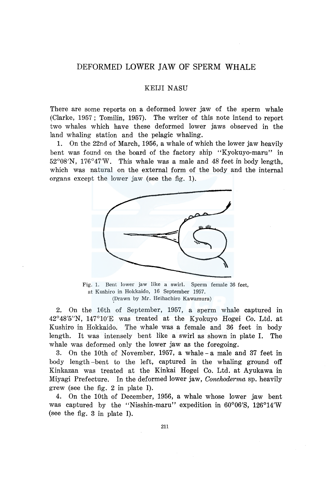# DEFORMED LOWER JAW OF SPERM WHALE

### KEIJI NASU

There are some reports on a deformed lower jaw of the sperm whale (Clarke, 1957; Tomilin, 1957). The writer of this note intend to report two whales which have these deformed lower jaws observed in the land whaling station and the pelagic whaling.

1. On the 22nd of March, 1956, a whale of which the lower jaw heavily bent was found on the board of the factory ship "Kyokuyo-maru" in 52°08'N, 176°47'W. This whale was a male and 48 feet in body length, which was natural on the external form of the body and the internal organs except the lower jaw (see the fig. 1).



Fig. 1. Bent lower jaw like a swirl. Sperm female 36 feet, at Kushiro in Hokkaido, 16 September 1957. \Drawn by Mr. Heihachiro Kawamura)

2. On the 16th of September, 1957, a sperm whale captured in 42°48'5"N, 147°10'E was treated at the Kyokuyo Hogei Co. Ltd. at Kushiro in Hokkaido. The whale was a female and 36 feet in body length. It was intensely bent like a swirl as shown in plate I. The whale was deformed only the lower jaw as the foregoing.

3. On the lOth of November, 1957, a whale - a male and 37 feet in body length-bent to the left, captured in the whaling ground off Kinkazan was treated at the Kinkai Hogei Co. Ltd. at Ayukawa in Miyagi Prefecture. In the deformed lower jaw, *Conchoderma* sp. heavily grew (see the fig. 2 in plate I).

4. On the lOth of December, 1956, a whale whose lower jaw bent was captured by the "Nisshin-maru" expedition in 60°06'8, 126°14'W (see the fig. 3 in plate I).